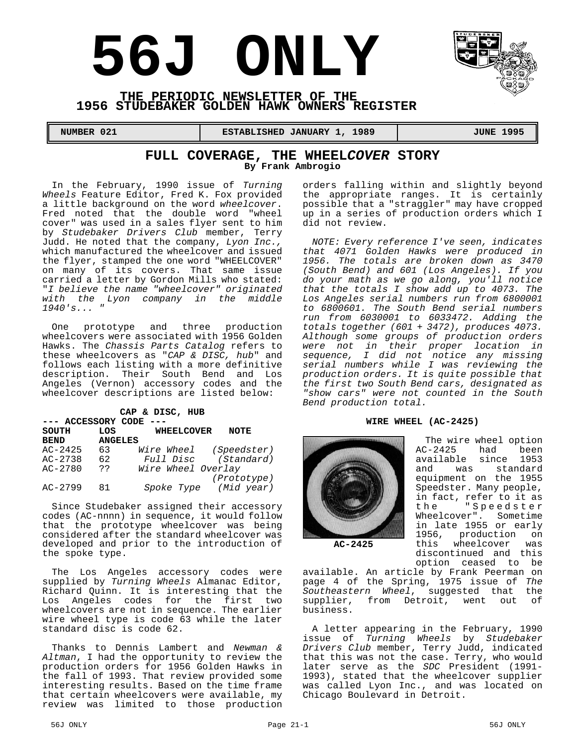# **56J ONLY**



#### **THE PERIODIC NEWSLETTER OF THE 1956 STUDEBAKER GOLDEN HAWK OWNERS REGISTER**

**NUMBER 021 ESTABLISHED JANUARY 1, 1989** JUNE 1995

#### **FULL COVERAGE, THE WHEEL***COVER* **STORY By Frank Ambrogio**

In the February, 1990 issue of *Turning Wheels* Feature Editor, Fred K. Fox provided a little background on the word *wheelcover*. Fred noted that the double word "wheel cover" was used in a sales flyer sent to him by *Studebaker Drivers Club* member, Terry Judd. He noted that the company, *Lyon Inc.,* which manufactured the wheelcover and issued the flyer, stamped the one word "WHEELCOVER" on many of its covers. That same issue carried a letter by Gordon Mills who stated: "*I believe the name "wheelcover" originated with the Lyon company in the middle 1940's... "*

One prototype and three production wheelcovers were associated with 1956 Golden Hawks. The *Chassis Parts Catalog* refers to these wheelcovers as "*CAP & DISC, hub*" and follows each listing with a more definitive description. Their South Bend and Los Angeles (Vernon) accessory codes and the wheelcover descriptions are listed below:

| CAP & DISC, HUB<br>--- ACCESSORY CODE |                |                    |                        |  |  |
|---------------------------------------|----------------|--------------------|------------------------|--|--|
| SOUTH                                 | LOS            | <b>WHEELCOVER</b>  | <b>NOTE</b>            |  |  |
| <b>BEND</b>                           | <b>ANGELES</b> |                    |                        |  |  |
| $AC - 2425$                           | 63             |                    | Wire Wheel (Speedster) |  |  |
| $AC - 2738$                           | 62             |                    | Full Disc (Standard)   |  |  |
| $AC - 2780$                           | ??             | Wire Wheel Overlay |                        |  |  |
|                                       |                |                    | (Prototype)            |  |  |
| $AC - 2799$                           | 81             |                    | Spoke Type (Mid year)  |  |  |

Since Studebaker assigned their accessory codes (AC-nnnn) in sequence, it would follow that the prototype wheelcover was being considered after the standard wheelcover was developed and prior to the introduction of the spoke type.

The Los Angeles accessory codes were supplied by *Turning Wheels* Almanac Editor, Richard Quinn. It is interesting that the Los Angeles codes for the first two wheelcovers are not in sequence. The earlier wire wheel type is code 63 while the later standard disc is code 62.

Thanks to Dennis Lambert and *Newman & Altman*, I had the opportunity to review the production orders for 1956 Golden Hawks in the fall of 1993. That review provided some interesting results. Based on the time frame that certain wheelcovers were available, my review was limited to those production

orders falling within and slightly beyond the appropriate ranges. It is certainly possible that a "straggler" may have cropped up in a series of production orders which I did not review.

*NOTE: Every reference I've seen, indicates that 4071 Golden Hawks were produced in 1956. The totals are broken down as 3470 (South Bend) and 601 (Los Angeles). If you do your math as we go along, you'll notice that the totals I show add up to 4073. The Los Angeles serial numbers run from 6800001 to 6800601. The South Bend serial numbers run from 6030001 to 6033472. Adding the totals together (601 + 3472), produces 4073. Although some groups of production orders were not in their proper location in sequence, I did not notice any missing serial numbers while I was reviewing the production orders. It is quite possible that the first two South Bend cars, designated as "show cars" were not counted in the South Bend production total.*

#### **WIRE WHEEL (AC-2425)**



The wire wheel option<br>AC-2425 had been had been available since 1953<br>and was standard was standard equipment on the 1955 Speedster. Many people, in fact, refer to it as<br>the "Speedster "Speedster Wheelcover". Sometime in late 1955 or early 1956, production on this wheelcover was discontinued and this option ceased to be

**AC-2425**

available. An article by Frank Peerman on page 4 of the Spring, 1975 issue of *The* Southeastern Wheel, suggested that supplier, from Detroit, went out of business.

A letter appearing in the February, 1990 issue of *Turning Wheels* by *Studebaker Drivers Club* member, Terry Judd, indicated that this was not the case. Terry, who would later serve as the *SDC* President (1991- 1993), stated that the wheelcover supplier was called Lyon Inc., and was located on Chicago Boulevard in Detroit.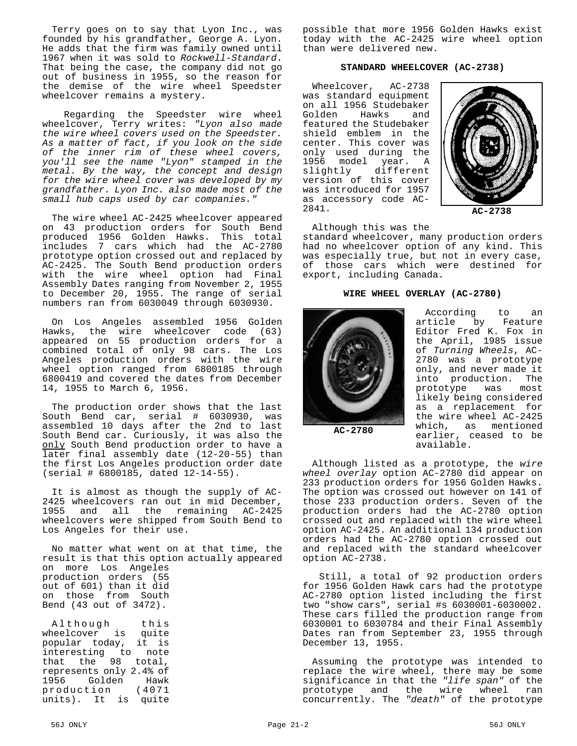Terry goes on to say that Lyon Inc., was founded by his grandfather, George A. Lyon. He adds that the firm was family owned until 1967 when it was sold to *Rockwell-Standard*. That being the case, the company did not go out of business in 1955, so the reason for the demise of the wire wheel Speedster wheelcover remains a mystery.

 Regarding the Speedster wire wheel wheelcover, Terry writes: *"Lyon also made the wire wheel covers used on the Speedster. As a matter of fact, if you look on the side of the inner rim of these wheel covers, you'll see the name "Lyon" stamped in the metal. By the way, the concept and design for the wire wheel cover was developed by my grandfather. Lyon Inc. also made most of the small hub caps used by car companies."*

The wire wheel AC-2425 wheelcover appeared on 43 production orders for South Bend produced 1956 Golden Hawks. This total includes 7 cars which had the AC-2780 prototype option crossed out and replaced by AC-2425. The South Bend production orders with the wire wheel option had Final Assembly Dates ranging from November 2, 1955 to December 20, 1955. The range of serial numbers ran from 6030049 through 6030930.

On Los Angeles assembled 1956 Golden Hawks, the wire wheelcover code (63) appeared on 55 production orders for a combined total of only 98 cars. The Los Angeles production orders with the wire wheel option ranged from 6800185 through 6800419 and covered the dates from December 14, 1955 to March 6, 1956.

The production order shows that the last South Bend car, serial # 6030930, was assembled 10 days after the 2nd to last South Bend car. Curiously, it was also the only South Bend production order to have a later final assembly date (12-20-55) than the first Los Angeles production order date (serial # 6800185, dated 12-14-55).

It is almost as though the supply of AC-2425 wheelcovers ran out in mid December, 1955 and all the remaining AC-2425 wheelcovers were shipped from South Bend to Los Angeles for their use.

No matter what went on at that time, the result is that this option actually appeared on more Los Angeles production orders (55 out of 601) than it did on those from South Bend (43 out of 3472).

Although this wheelcover is quite popular today, it is interesting to note that the 98 total, represents only 2.4% of 1956 Golden Hawk production (4071 units). It is quite

possible that more 1956 Golden Hawks exist today with the AC-2425 wire wheel option than were delivered new.

#### **STANDARD WHEELCOVER (AC-2738)**

Wheelcover, AC-2738 was standard equipment on all 1956 Studebaker<br>Golden Hawks and Golden featured the Studebaker shield emblem in the center. This cover was only used during the 1956 model year. A slightly different version of this cover was introduced for 1957 as accessory code AC-2841.



**AC-2738**

Although this was the

standard wheelcover, many production orders had no wheelcover option of any kind. This was especially true, but not in every case, of those cars which were destined for export, including Canada.

#### **WIRE WHEEL OVERLAY (AC-2780)**



According to an article by Feature Editor Fred K. Fox in the April, 1985 issue of *Turning Wheels*, AC-2780 was a prototype only, and never made it into production. The prototype was most likely being considered as a replacement for the wire wheel AC-2425 which, as mentioned earlier, ceased to be available.

**AC-2780**

Although listed as a prototype, the *wire wheel overlay* option AC-2780 did appear on 233 production orders for 1956 Golden Hawks. The option was crossed out however on 141 of those 233 production orders. Seven of the production orders had the AC-2780 option crossed out and replaced with the wire wheel option AC-2425. An additional 134 production orders had the AC-2780 option crossed out and replaced with the standard wheelcover option AC-2738.

 Still, a total of 92 production orders for 1956 Golden Hawk cars had the prototype AC-2780 option listed including the first two "show cars", serial #s 6030001-6030002. These cars filled the production range from 6030001 to 6030784 and their Final Assembly Dates ran from September 23, 1955 through December 13, 1955.

Assuming the prototype was intended to replace the wire wheel, there may be some significance in that the *"life span"* of the prototype and the wire wheel ran concurrently. The *"death"* of the prototype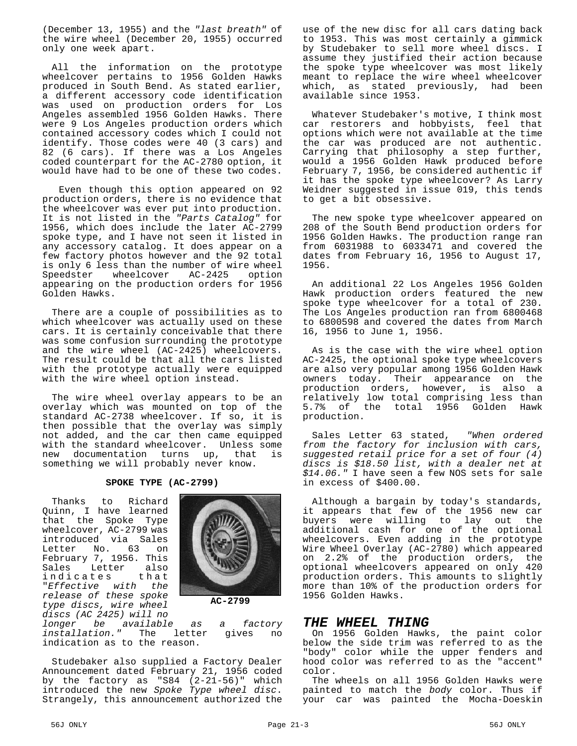(December 13, 1955) and the *"last breath"* of the wire wheel (December 20, 1955) occurred only one week apart.

All the information on the prototype wheelcover pertains to 1956 Golden Hawks produced in South Bend. As stated earlier, a different accessory code identification was used on production orders for Los Angeles assembled 1956 Golden Hawks. There were 9 Los Angeles production orders which contained accessory codes which I could not identify. Those codes were 40 (3 cars) and 82 (6 cars). If there was a Los Angeles coded counterpart for the AC-2780 option, it would have had to be one of these two codes.

 Even though this option appeared on 92 production orders, there is no evidence that the wheelcover was ever put into production. It is not listed in the *"Parts Catalog"* for 1956, which does include the later AC-2799 spoke type, and I have not seen it listed in any accessory catalog. It does appear on a few factory photos however and the 92 total is only 6 less than the number of wire wheel Speedster wheelcover AC-2425 option appearing on the production orders for 1956 Golden Hawks.

There are a couple of possibilities as to which wheelcover was actually used on these cars. It is certainly conceivable that there was some confusion surrounding the prototype and the wire wheel (AC-2425) wheelcovers. The result could be that all the cars listed with the prototype actually were equipped with the wire wheel option instead.

The wire wheel overlay appears to be an overlay which was mounted on top of the standard AC-2738 wheelcover. If so, it is then possible that the overlay was simply not added, and the car then came equipped with the standard wheelcover. Unless some<br>new documentation turns up, that is new documentation turns up, something we will probably never know.

#### **SPOKE TYPE (AC-2799)**

Thanks to Richard Quinn, I have learned that the Spoke Type wheelcover, AC-2799 was introduced via Sales Letter No. 63 on February 7, 1956. This<br>Sales Letter also Sales Letter also<br>indicates that indicates "*Effective with the release of these spoke type discs, wire wheel discs (AC 2425) will no*



**AC-2799**

*longer be available as a factory installation."* The letter gives no indication as to the reason.

Studebaker also supplied a Factory Dealer Announcement dated February 21, 1956 coded by the factory as "S84 (2-21-56)" which introduced the new *Spoke Type wheel disc*. Strangely, this announcement authorized the

use of the new disc for all cars dating back to 1953. This was most certainly a gimmick by Studebaker to sell more wheel discs. I assume they justified their action because the spoke type wheelcover was most likely meant to replace the wire wheel wheelcover which, as stated previously, had been available since 1953.

Whatever Studebaker's motive, I think most car restorers and hobbyists, feel that options which were not available at the time the car was produced are not authentic. Carrying that philosophy a step further, would a 1956 Golden Hawk produced before February 7, 1956, be considered authentic if it has the spoke type wheelcover? As Larry Weidner suggested in issue 019, this tends to get a bit obsessive.

The new spoke type wheelcover appeared on 208 of the South Bend production orders for 1956 Golden Hawks. The production range ran from 6031988 to 6033471 and covered the dates from February 16, 1956 to August 17, 1956.

An additional 22 Los Angeles 1956 Golden Hawk production orders featured the new spoke type wheelcover for a total of 230. The Los Angeles production ran from 6800468 to 6800598 and covered the dates from March 16, 1956 to June 1, 1956.

As is the case with the wire wheel option AC-2425, the optional spoke type wheelcovers are also very popular among 1956 Golden Hawk owners today. Their appearance on the production orders, however, is also a relatively low total comprising less than 5.7% of the total 1956 Golden Hawk production.

Sales Letter 63 stated, *"When ordered from the factory for inclusion with cars, suggested retail price for a set of four (4) discs is \$18.50 list, with a dealer net at \$14.06."* I have seen a few NOS sets for sale in excess of \$400.00.

Although a bargain by today's standards, it appears that few of the 1956 new car buyers were willing to lay out the additional cash for one of the optional wheelcovers. Even adding in the prototype Wire Wheel Overlay (AC-2780) which appeared on 2.2% of the production orders, the optional wheelcovers appeared on only 420 production orders. This amounts to slightly more than 10% of the production orders for 1956 Golden Hawks.

#### *THE WHEEL THING*

On 1956 Golden Hawks, the paint color below the side trim was referred to as the "body" color while the upper fenders and hood color was referred to as the "accent" color.

The wheels on all 1956 Golden Hawks were painted to match the *body* color. Thus if your car was painted the Mocha-Doeskin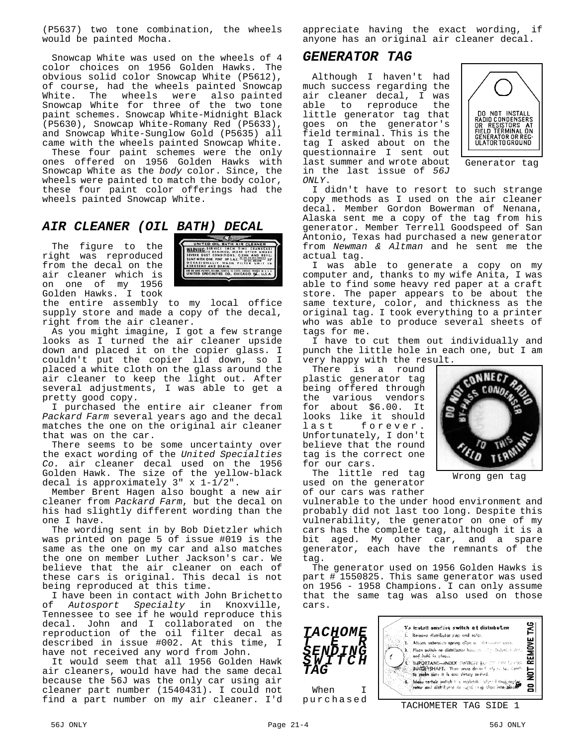(P5637) two tone combination, the wheels would be painted Mocha.

Snowcap White was used on the wheels of 4 color choices on 1956 Golden Hawks. The obvious solid color Snowcap White (P5612), of course, had the wheels painted Snowcap White. The wheels were also painted Snowcap White for three of the two tone paint schemes. Snowcap White-Midnight Black (P5630), Snowcap White-Romany Red (P5633), and Snowcap White-Sunglow Gold (P5635) all came with the wheels painted Snowcap White.

These four paint schemes were the only ones offered on 1956 Golden Hawks with Snowcap White as the *body* color. Since, the wheels were painted to match the body color, these four paint color offerings had the wheels painted Snowcap White.

**AIR CLEANER (OIL BATH) DECAL**<br>The figure to the right was reproduced<br>from the decal on the maximum was reproduced The figure to the right was reproduced from the decal on the air cleaner which is on one of my 1956 Golden Hawks. I took



the entire assembly to my local office supply store and made a copy of the decal, right from the air cleaner.

As you might imagine, I got a few strange looks as I turned the air cleaner upside down and placed it on the copier glass. I couldn't put the copier lid down, so I placed a white cloth on the glass around the air cleaner to keep the light out. After several adjustments, I was able to get a pretty good copy.

I purchased the entire air cleaner from *Packard Farm* several years ago and the decal matches the one on the original air cleaner that was on the car.

There seems to be some uncertainty over the exact wording of the *United Specialties Co.* air cleaner decal used on the 1956 Golden Hawk. The size of the yellow-black decal is approximately 3" x 1-1/2".

Member Brent Hagen also bought a new air cleaner from *Packard Farm*, but the decal on his had slightly different wording than the one I have.

The wording sent in by Bob Dietzler which was printed on page 5 of issue #019 is the same as the one on my car and also matches the one on member Luther Jackson's car. We believe that the air cleaner on each of these cars is original. This decal is not being reproduced at this time.

I have been in contact with John Brichetto<br>of Autosport Specialty in Knoxville. of *Autosport Specialty* in Knoxville, Tennessee to see if he would reproduce this decal. John and I collaborated on the reproduction of the oil filter decal as described in issue #002. At this time, I have not received any word from John.

It would seem that all 1956 Golden Hawk air cleaners, would have had the same decal because the 56J was the only car using air cleaner part number (1540431). I could not find a part number on my air cleaner. I'd appreciate having the exact wording, if anyone has an original air cleaner decal.

### *GENERATOR TAG*

Although I haven't had much success regarding the air cleaner decal, I was<br>able to reproduce the able to reproduce little generator tag that goes on the generator's field terminal. This is the tag I asked about on the questionnaire I sent out last summer and wrote about in the last issue of *56J ONLY*.



Generator tag

I didn't have to resort to such strange copy methods as I used on the air cleaner decal. Member Gordon Bowerman of Nenana, Alaska sent me a copy of the tag from his generator. Member Terrell Goodspeed of San Antonio, Texas had purchased a new generator from *Newman & Altman* and he sent me the actual tag.

I was able to generate a copy on my computer and, thanks to my wife Anita, I was able to find some heavy red paper at a craft store. The paper appears to be about the same texture, color, and thickness as the original tag. I took everything to a printer who was able to produce several sheets of tags for me.

I have to cut them out individually and punch the little hole in each one, but I am very happy with the result.

There is a round plastic generator tag being offered through<br>the various vendors various vendors for about \$6.00. It looks like it should last forever. Unfortunately, I don't believe that the round tag is the correct one for our cars.



Wrong gen tag

The little red tag used on the generator of our cars was rather

vulnerable to the under hood environment and probably did not last too long. Despite this vulnerability, the generator on one of my cars has the complete tag, although it is a bit aged. My other car, and a spare generator, each have the remnants of the tag.

The generator used on 1956 Golden Hawks is part # 1550825. This same generator was used on 1956 - 1958 Champions. I can only assume that the same tag was also used on those cars.

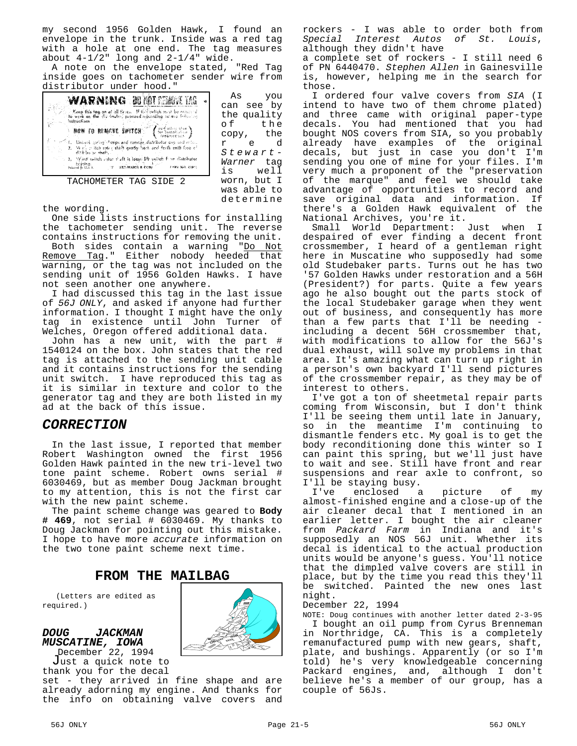my second 1956 Golden Hawk, I found an envelope in the trunk. Inside was a red tag with a hole at one end. The tag measures about  $4-1/2$ " long and  $2-1/4$ " wide.

A note on the envelope stated, "Red Tag inside goes on tachometer sender wire from distributor under hood."

determine

| WARNING DI MITEMBE IAG<br>. Keep this tag on at all firms. It the awitch must be removed a comparable firm the climinate in proceed indicated in column federal as<br>instructions<br><b>NOW TO RENEVE SWITCH (Entertainment)</b><br>of 1. United pring change and tomore distributor cap and refut-<br>2. Well a itch roter shaft gently hack and forth until free of<br>differbular shaft,<br>1. 3. 写的形 switch instan thaft is loose lift switch finns distributor<br>heirding.<br>Francod for U.S.A. T. EXT-WARED R. CORE<br>7.4RY NO. 43401 | As the set of $\sim$<br>you<br>Ŵ<br>can see by<br>the quality<br>o f<br>the<br>the<br>сору,<br>e d<br>r<br>Stewart-<br>Warner tag<br>well<br>is |
|-------------------------------------------------------------------------------------------------------------------------------------------------------------------------------------------------------------------------------------------------------------------------------------------------------------------------------------------------------------------------------------------------------------------------------------------------------------------------------------------------------------------------------------------------|-------------------------------------------------------------------------------------------------------------------------------------------------|
| TACHOMETER TAG SIDE 2                                                                                                                                                                                                                                                                                                                                                                                                                                                                                                                           | worn, but I<br>was able to                                                                                                                      |

the wording.

One side lists instructions for installing the tachometer sending unit. The reverse contains instructions for removing the unit.

Both sides contain a warning "Do Not Remove Tag." Either nobody heeded that warning, or the tag was not included on the sending unit of 1956 Golden Hawks. I have not seen another one anywhere.

I had discussed this tag in the last issue of *56J ONLY*, and asked if anyone had further information. I thought I might have the only tag in existence until John Turner of Welches, Oregon offered additional data.

John has a new unit, with the part # 1540124 on the box. John states that the red tag is attached to the sending unit cable and it contains instructions for the sending unit switch. I have reproduced this tag as it is similar in texture and color to the generator tag and they are both listed in my ad at the back of this issue.

#### *CORRECTION*

In the last issue, I reported that member Robert Washington owned the first 1956 Golden Hawk painted in the new tri-level two tone paint scheme. Robert owns serial # 6030469, but as member Doug Jackman brought to my attention, this is not the first car with the new paint scheme.

The paint scheme change was geared to **Body # 469**, not serial # 6030469. My thanks to Doug Jackman for pointing out this mistake. I hope to have more *accurate* information on the two tone paint scheme next time.

### **FROM THE MAILBAG**

(Letters are edited as required.)

*DOUG JACKMAN MUSCATINE, IOWA*



December 22, 1994 Just a quick note to thank you for the decal

set - they arrived in fine shape and are already adorning my engine. And thanks for the info on obtaining valve covers and

rockers - I was able to order both from *Special Interest Autos of St. Louis*, although they didn't have

a complete set of rockers - I still need 6 of PN 6440470. *Stephen Allen* in Gainesville is, however, helping me in the search for those.

I ordered four valve covers from *SIA* (I intend to have two of them chrome plated) and three came with original paper-type decals. You had mentioned that you had bought NOS covers from SIA, so you probably already have examples of the original decals, but just in case you don't I'm sending you one of mine for your files. I'm very much a proponent of the "preservation of the marque" and feel we should take advantage of opportunities to record and save original data and information. If there's a Golden Hawk equivalent of the National Archives, you're it.

Small World Department: Just when I despaired of ever finding a decent front crossmember, I heard of a gentleman right here in Muscatine who supposedly had some old Studebaker parts. Turns out he has two '57 Golden Hawks under restoration and a 56H (President?) for parts. Quite a few years ago he also bought out the parts stock of the local Studebaker garage when they went out of business, and consequently has more than a few parts that  $I'$ ll be needing including a decent 56H crossmember that, with modifications to allow for the 56J's dual exhaust, will solve my problems in that area. It's amazing what can turn up right in a person's own backyard I'll send pictures of the crossmember repair, as they may be of interest to others.

I've got a ton of sheetmetal repair parts coming from Wisconsin, but I don't think I'll be seeing them until late in January, so in the meantime I'm continuing to dismantle fenders etc. My goal is to get the body reconditioning done this winter so I can paint this spring, but we'll just have to wait and see. Still have front and rear suspensions and rear axle to confront, so I'll be staying busy.

I've enclosed a picture of my almost-finished engine and a close-up of the air cleaner decal that I mentioned in an earlier letter. I bought the air cleaner from *Packard Farm* in Indiana and it's supposedly an NOS 56J unit. Whether its decal is identical to the actual production units would be anyone's guess. You'll notice that the dimpled valve covers are still in place, but by the time you read this they'll be switched. Painted the new ones last night.

December 22, 1994

NOTE: Doug continues with another letter dated 2-3-95 I bought an oil pump from Cyrus Brenneman in Northridge, CA. This is a completely remanufactured pump with new gears, shaft, plate, and bushings. Apparently (or so I'm told) he's very knowledgeable concerning Packard engines, and, although I don't believe he's a member of our group, has a couple of 56Js.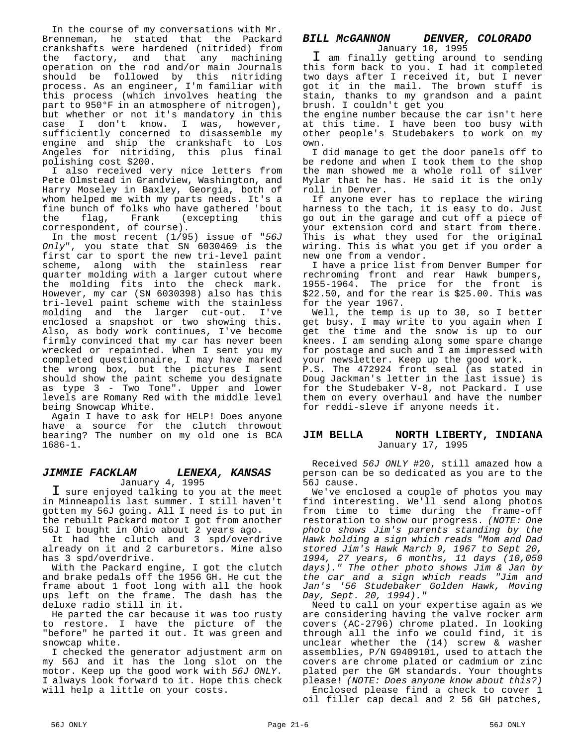In the course of my conversations with Mr. Brenneman, he stated that the Packard crankshafts were hardened (nitrided) from the factory, and that any machining operation on the rod and/or main Journals should be followed by this nitriding process. As an engineer, I'm familiar with this process (which involves heating the part to 950°F in an atmosphere of nitrogen), .<br>but whether or not it's mandatory in this case I don't know. I was, however, sufficiently concerned to disassemble my engine and ship the crankshaft to Los Angeles for nitriding, this plus final polishing cost \$200.

I also received very nice letters from Pete Olmstead in Grandview, Washington, and Harry Moseley in Baxley, Georgia, both of whom helped me with my parts needs. It's a fine bunch of folks who have gathered 'bout<br>the flag, Frank (excepting this the flag, Frank (excepting correspondent, of course).

In the most recent (1/95) issue of "*56J Only*", you state that SN 6030469 is the first car to sport the new tri-level paint scheme, along with the stainless rear quarter molding with a larger cutout where the molding fits into the check mark. However, my car (SN 6030398) also has this tri-level paint scheme with the stainless molding and the larger cut-out. I've enclosed a snapshot or two showing this. Also, as body work continues, I've become firmly convinced that my car has never been wrecked or repainted. When I sent you my completed questionnaire, I may have marked the wrong box, but the pictures I sent should show the paint scheme you designate as type 3 - Two Tone". Upper and lower levels are Romany Red with the middle level being Snowcap White.

Again I have to ask for HELP! Does anyone have a source for the clutch throwout bearing? The number on my old one is BCA 1686-1.

#### *JIMMIE FACKLAM LENEXA, KANSAS* January 4, 1995

I sure enjoyed talking to you at the meet in Minneapolis last summer. I still haven't gotten my 56J going. All I need is to put in the rebuilt Packard motor I got from another 56J I bought in Ohio about 2 years ago.

It had the clutch and 3 spd/overdrive already on it and 2 carburetors. Mine also has 3 spd/overdrive.

With the Packard engine, I got the clutch and brake pedals off the 1956 GH. He cut the frame about 1 foot long with all the hook ups left on the frame. The dash has the deluxe radio still in it.

He parted the car because it was too rusty to restore. I have the picture of the "before" he parted it out. It was green and snowcap white.

I checked the generator adjustment arm on my 56J and it has the long slot on the motor. Keep up the good work with *56J ONLY*. I always look forward to it. Hope this check will help a little on your costs.

## *BILL McGANNON DENVER, COLORADO*

January 10, 1995 I am finally getting around to sending this form back to you. I had it completed two days after I received it, but I never got it in the mail. The brown stuff is stain, thanks to my grandson and a paint brush. I couldn't get you

the engine number because the car isn't here at this time. I have been too busy with other people's Studebakers to work on my own.

I did manage to get the door panels off to be redone and when I took them to the shop the man showed me a whole roll of silver Mylar that he has. He said it is the only roll in Denver.

If anyone ever has to replace the wiring harness to the tach, it is easy to do. Just go out in the garage and cut off a piece of your extension cord and start from there. This is what they used for the original wiring. This is what you get if you order a new one from a vendor.

I have a price list from Denver Bumper for rechroming front and rear Hawk bumpers, 1955-1964. The price for the front is \$22.50, and for the rear is \$25.00. This was for the year 1967.

Well, the temp is up to 30, so I better get busy. I may write to you again when I get the time and the snow is up to our knees. I am sending along some spare change for postage and such and I am impressed with your newsletter. Keep up the good work.

P.S. The 472924 front seal (as stated in Doug Jackman's letter in the last issue) is for the Studebaker V-8, not Packard. I use them on every overhaul and have the number for reddi-sleve if anyone needs it.

#### **JIM BELLA NORTH LIBERTY, INDIANA** January 17, 1995

Received *56J ONLY* #20, still amazed how a person can be so dedicated as you are to the 56J cause.

We've enclosed a couple of photos you may find interesting. We'll send along photos from time to time during the frame-off restoration to show our progress. *(NOTE: One photo shows Jim's parents standing by the Hawk holding a sign which reads "Mom and Dad stored Jim's Hawk March 9, 1967 to Sept 20, 1994, 27 years, 6 months, 11 days (10,050 days)." The other photo shows Jim & Jan by the car and a sign which reads "Jim and Jan's '56 Studebaker Golden Hawk, Moving Day, Sept. 20, 1994)."*

Need to call on your expertise again as we are considering having the valve rocker arm covers (AC-2796) chrome plated. In looking through all the info we could find, it is unclear whether the (14) screw & washer assemblies, P/N G9409101, used to attach the covers are chrome plated or cadmium or zinc plated per the GM standards. Your thoughts please! *(NOTE: Does anyone know about this?)*

Enclosed please find a check to cover 1 oil filler cap decal and 2 56 GH patches,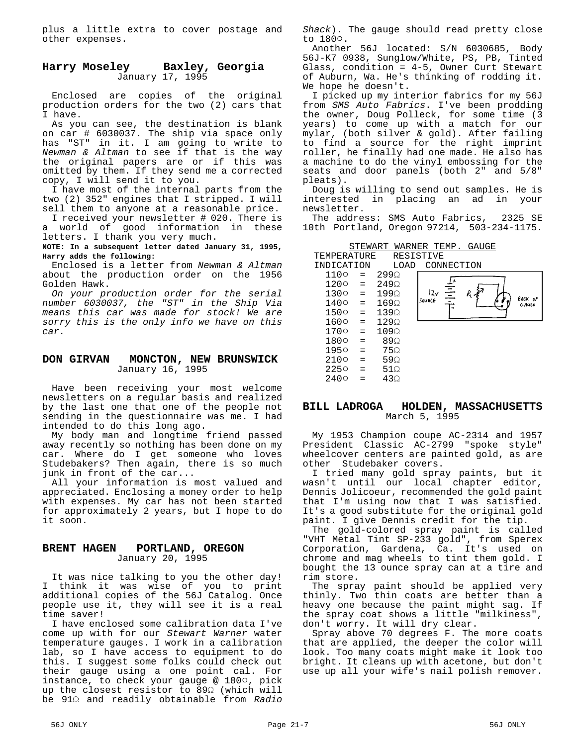plus a little extra to cover postage and other expenses.

#### **Harry Moseley Baxley, Georgia** January 17, 1995

Enclosed are copies of the original production orders for the two (2) cars that I have.

As you can see, the destination is blank on car # 6030037. The ship via space only has "ST" in it. I am going to write to *Newman & Altman* to see if that is the way the original papers are or if this was omitted by them. If they send me a corrected copy, I will send it to you.

I have most of the internal parts from the two (2) 352" engines that I stripped. I will sell them to anyone at a reasonable price.

I received your newsletter # 020. There is a world of good information in these letters. I thank you very much.

**NOTE: In a subsequent letter dated January 31, 1995, Harry adds the following:**

Enclosed is a letter from *Newman & Altman* about the production order on the 1956 Golden Hawk.

*On your production order for the serial number 6030037, the "ST" in the Ship Via means this car was made for stock! We are sorry this is the only info we have on this car.*

#### **DON GIRVAN MONCTON, NEW BRUNSWICK** January 16, 1995

Have been receiving your most welcome newsletters on a regular basis and realized by the last one that one of the people not sending in the questionnaire was me. I had intended to do this long ago.

My body man and longtime friend passed away recently so nothing has been done on my car. Where do I get someone who loves Studebakers? Then again, there is so much junk in front of the car...

All your information is most valued and appreciated. Enclosing a money order to help with expenses. My car has not been started for approximately 2 years, but I hope to do it soon.

#### **BRENT HAGEN PORTLAND, OREGON** January 20, 1995

It was nice talking to you the other day!<br>I think it was wise of you to print think it was wise of you to print additional copies of the 56J Catalog. Once people use it, they will see it is a real time saver!

I have enclosed some calibration data I've come up with for our *Stewart Warner* water temperature gauges. I work in a calibration lab, so I have access to equipment to do this. I suggest some folks could check out their gauge using a one point cal. For instance, to check your gauge @ 1800, pick up the closest resistor to  $89\Omega$  (which will be 91S and readily obtainable from *Radio* *Shack*). The gauge should read pretty close to 1800.

Another 56J located: S/N 6030685, Body 56J-K7 0938, Sunglow/White, PS, PB, Tinted Glass, condition = 4-5, Owner Curt Stewart of Auburn, Wa. He's thinking of rodding it. We hope he doesn't.

I picked up my interior fabrics for my 56J from *SMS Auto Fabrics*. I've been prodding the owner, Doug Polleck, for some time (3 years) to come up with a match for our mylar, (both silver & gold). After failing to find a source for the right imprint roller, he finally had one made. He also has a machine to do the vinyl embossing for the seats and door panels (both 2" and 5/8" pleats).

Doug is willing to send out samples. He is interested in placing an ad in your newsletter.

The address: SMS Auto Fabrics, 2325 SE 10th Portland, Oregon 97214, 503-234-1175.

| STEWART | WARNER T | TEMP. | GAUGE |
|---------|----------|-------|-------|
|         |          |       |       |

| TEMPERATURE |     |                  | RESISTIVE |         |            |         |
|-------------|-----|------------------|-----------|---------|------------|---------|
| INDICATION  |     | LOAD             |           |         | CONNECTION |         |
| 1100        | $=$ | $299\Omega$      |           |         |            |         |
| 1200        | $=$ | $249\Omega$      |           |         |            |         |
| 1300        | $=$ | $199\Omega$      | 12v       | II<br>I | $R_{L}$    | BACK OF |
| 1400        | $=$ | 169 <sub>2</sub> | SOURCE    |         |            | G Aust  |
| 1500        | $=$ | 1390             |           |         |            |         |
| 1600        | $=$ | $129\Omega$      |           |         |            |         |
| 1700        | $=$ | $109\Omega$      |           |         |            |         |
| 1800        | $=$ | 890              |           |         |            |         |
| 1950        | $=$ | 75Ω              |           |         |            |         |
| 2100        | $=$ | 59 $\Omega$      |           |         |            |         |
| 2250        | =   | $51\Omega$       |           |         |            |         |
| 2400        | $=$ | 430              |           |         |            |         |

#### **BILL LADROGA HOLDEN, MASSACHUSETTS** March 5, 1995

My 1953 Champion coupe AC-2314 and 1957 President Classic AC-2799 "spoke style" wheelcover centers are painted gold, as are other Studebaker covers.

I tried many gold spray paints, but it wasn't until our local chapter editor, Dennis Jolicoeur, recommended the gold paint that I'm using now that I was satisfied. It's a good substitute for the original gold paint. I give Dennis credit for the tip.

The gold-colored spray paint is called "VHT Metal Tint SP-233 gold", from Sperex Corporation, Gardena, Ca. It's used on chrome and mag wheels to tint them gold. I bought the 13 ounce spray can at a tire and rim store.

The spray paint should be applied very thinly. Two thin coats are better than a heavy one because the paint might sag. If the spray coat shows a little "milkiness", don't worry. It will dry clear.

Spray above 70 degrees F. The more coats that are applied, the deeper the color will look. Too many coats might make it look too bright. It cleans up with acetone, but don't use up all your wife's nail polish remover.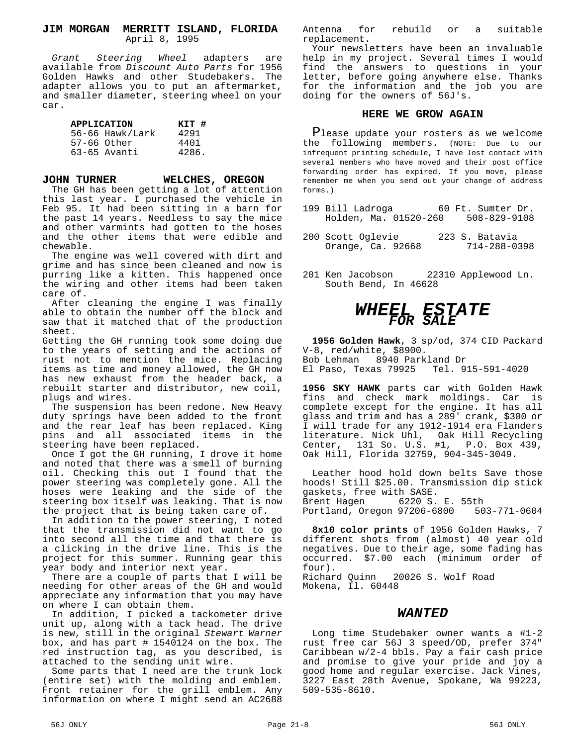#### **JIM MORGAN MERRITT ISLAND, FLORIDA** April 8, 1995

*Grant Steering Wheel* adapters are available from *Discount Auto Parts* for 1956 Golden Hawks and other Studebakers. The adapter allows you to put an aftermarket, and smaller diameter, steering wheel on your car.

| KIT #<br><b>APPLICATION</b> |                 |       |  |  |
|-----------------------------|-----------------|-------|--|--|
|                             | 56-66 Hawk/Lark | 4291  |  |  |
|                             | $57-66$ Other   | 4401  |  |  |
|                             | 63-65 Avanti    | 4286. |  |  |

#### **JOHN TURNER WELCHES, OREGON**

The GH has been getting a lot of attention this last year. I purchased the vehicle in Feb 95. It had been sitting in a barn for the past 14 years. Needless to say the mice and other varmints had gotten to the hoses and the other items that were edible and chewable.

The engine was well covered with dirt and grime and has since been cleaned and now is purring like a kitten. This happened once the wiring and other items had been taken care of.

After cleaning the engine I was finally able to obtain the number off the block and saw that it matched that of the production sheet.

Getting the GH running took some doing due to the years of setting and the actions of rust not to mention the mice. Replacing items as time and money allowed, the GH now has new exhaust from the header back, a rebuilt starter and distributor, new coil, plugs and wires.

The suspension has been redone. New Heavy duty springs have been added to the front and the rear leaf has been replaced. King pins and all associated items in the steering have been replaced.

Once I got the GH running, I drove it home and noted that there was a smell of burning oil. Checking this out I found that the power steering was completely gone. All the hoses were leaking and the side of the steering box itself was leaking. That is now the project that is being taken care of.

In addition to the power steering, I noted that the transmission did not want to go into second all the time and that there is a clicking in the drive line. This is the project for this summer. Running gear this year body and interior next year.

There are a couple of parts that I will be needing for other areas of the GH and would appreciate any information that you may have on where I can obtain them.

In addition, I picked a tackometer drive unit up, along with a tack head. The drive is new, still in the original *Stewart Warner* box, and has part # 1540124 on the box. The red instruction tag, as you described, is attached to the sending unit wire.

Some parts that I need are the trunk lock (entire set) with the molding and emblem. Front retainer for the grill emblem. Any information on where I might send an AC2688 Antenna for rebuild or a suitable replacement.

Your newsletters have been an invaluable help in my project. Several times I would find the answers to questions in your letter, before going anywhere else. Thanks for the information and the job you are doing for the owners of 56J's.

#### **HERE WE GROW AGAIN**

Please update your rosters as we welcome the following members. (NOTE: Due to our infrequent printing schedule, I have lost contact with several members who have moved and their post office forwarding order has expired. If you move, please remember me when you send out your change of address forms.)

- 199 Bill Ladroga 60 Ft. Sumter Dr. Holden, Ma. 01520-260
- 200 Scott Oglevie 223 S. Batavia Orange, Ca. 92668
- 201 Ken Jacobson 22310 Applewood Ln. South Bend, In 46628

## *WHEEL ESTATE FOR SALE*

**1956 Golden Hawk**, 3 sp/od, 374 CID Packard V-8, red/white, \$8900. Bob Lehman 8940 Parkland Dr<br>El Paso, Texas 79925 Tel. 915-591-4020 El Paso, Texas 79925

**1956 SKY HAWK** parts car with Golden Hawk fins and check mark moldings. Car is complete except for the engine. It has all glass and trim and has a 289' crank, \$300 or I will trade for any 1912-1914 era Flanders literature. Nick Uhl, Oak Hill Recycling Center, 131 So. U.S. #1, P.O. Box 439, Oak Hill, Florida 32759, 904-345-3049.

Leather hood hold down belts Save those hoods! Still \$25.00. Transmission dip stick gaskets, free with SASE.<br>Brent Hagen 6220 S. 6220 S. E. 55th<br>97206-6800 503-771-0604 Portland, Oregon 97206-6800

**8x10 color prints** of 1956 Golden Hawks, 7 different shots from (almost) 40 year old negatives. Due to their age, some fading has occurred. \$7.00 each (minimum order of four).<br>Richard Quinn 20026 S. Wolf Road

Mokena, Il. 60448

#### *WANTED*

Long time Studebaker owner wants a #1-2 rust free car 56J 3 speed/OD, prefer 374" Caribbean w/2-4 bbls. Pay a fair cash price and promise to give your pride and joy a good home and regular exercise. Jack Vines, 3227 East 28th Avenue, Spokane, Wa 99223, 509-535-8610.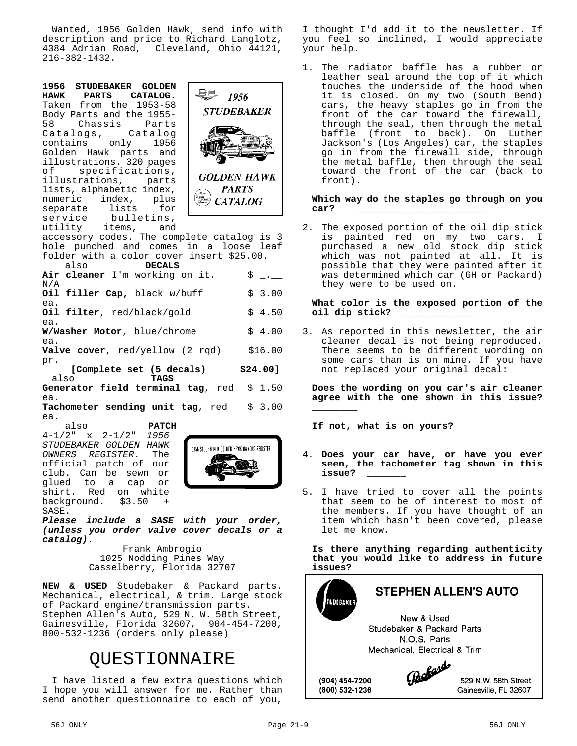Wanted, 1956 Golden Hawk, send info with description and price to Richard Langlotz, 4384 Adrian Road, Cleveland, Ohio 44121, 216-382-1432.

**1956 STUDEBAKER GOLDEN HAWK PARTS** Taken from the 1953-58 Body Parts and the 1955- 58 Chassis Parts<br>Catalogs, Catalog Catalogs, C<br>contains only contains only 1956 Golden Hawk parts and illustrations. 320 pages<br>of specifications, specifications,<br>rations, parts: illustrations, lists, alphabetic index,<br>numeric index, plus index, separate lists for<br>service bulletins, bulletins, utility items, and



accessory codes. The complete catalog is 3 hole punched and comes in a loose leaf folder with a color cover insert \$25.00.<br>also **DECALS** also **DECALS**

| Air cleaner I'm working on it.<br>N/A               | $S \quad .$ |
|-----------------------------------------------------|-------------|
| Oil filler Cap, black w/buff                        | \$3.00      |
| ea.<br>Oil filter, red/black/gold<br>ea.            | \$4.50      |
| W/Washer Motor, blue/chrome                         | \$4.00      |
| ea.<br><b>Valve cover</b> , $red/yellow$ (2 $rad$ ) | \$16.00     |

pr. **[Complete set (5 decals) \$24.00]** also **TAGS**

**Generator field terminal tag**, red \$ 1.50 ea. **Tachometer sending unit tag**, red \$ 3.00 ea.

 also **PATCH** 4-1/2" x 2-1/2" *1956 STUDEBAKER GOLDEN HAWK*  $OWNERS$  *REGISTER*. official patch of our club. Can be sewn or<br>glued to a cap or a cap or shirt. Red on white<br>background. \$3.50 + background. SASE.



*Please include a SASE with your order, (unless you order valve cover decals or a catalog)*.

> Frank Ambrogio 1025 Nodding Pines Way Casselberry, Florida 32707

**NEW & USED** Studebaker & Packard parts. Mechanical, electrical, & trim. Large stock of Packard engine/transmission parts. Stephen Allen's Auto, 529 N. W. 58th Street, Gainesville, Florida 32607, 904-454-7200, 800-532-1236 (orders only please)

## QUESTIONNAIRE

I have listed a few extra questions which I hope you will answer for me. Rather than send another questionnaire to each of you,

I thought I'd add it to the newsletter. If you feel so inclined, I would appreciate your help.

1. The radiator baffle has a rubber or leather seal around the top of it which touches the underside of the hood when it is closed. On my two (South Bend) cars, the heavy staples go in from the front of the car toward the firewall, through the seal, then through the metal baffle (front to back). On Luther Jackson's (Los Angeles) car, the staples go in from the firewall side, through the metal baffle, then through the seal toward the front of the car (back to front).

#### **Which way do the staples go through on you car? \_\_\_\_\_\_\_\_\_\_\_\_\_\_\_\_\_\_\_\_\_\_\_**

2. The exposed portion of the oil dip stick is painted red on my two cars. I purchased a new old stock dip stick which was not painted at all. It is possible that they were painted after it was determined which car (GH or Packard) they were to be used on.

#### **What color is the exposed portion of the oil dip stick? \_\_\_\_\_\_\_\_\_\_\_\_\_**

3. As reported in this newsletter, the air cleaner decal is not being reproduced. There seems to be different wording on some cars than is on mine. If you have not replaced your original decal:

**Does the wording on you car's air cleaner agree with the one shown in this issue?**

**If not, what is on yours?** 

**\_\_\_\_\_\_\_\_**

- 4. **Does your car have, or have you ever seen, the tachometer tag shown in this issue? \_\_\_\_\_\_\_**
- 5. I have tried to cover all the points that seem to be of interest to most of the members. If you have thought of an item which hasn't been covered, please let me know.

**Is there anything regarding authenticity that you would like to address in future issues?**